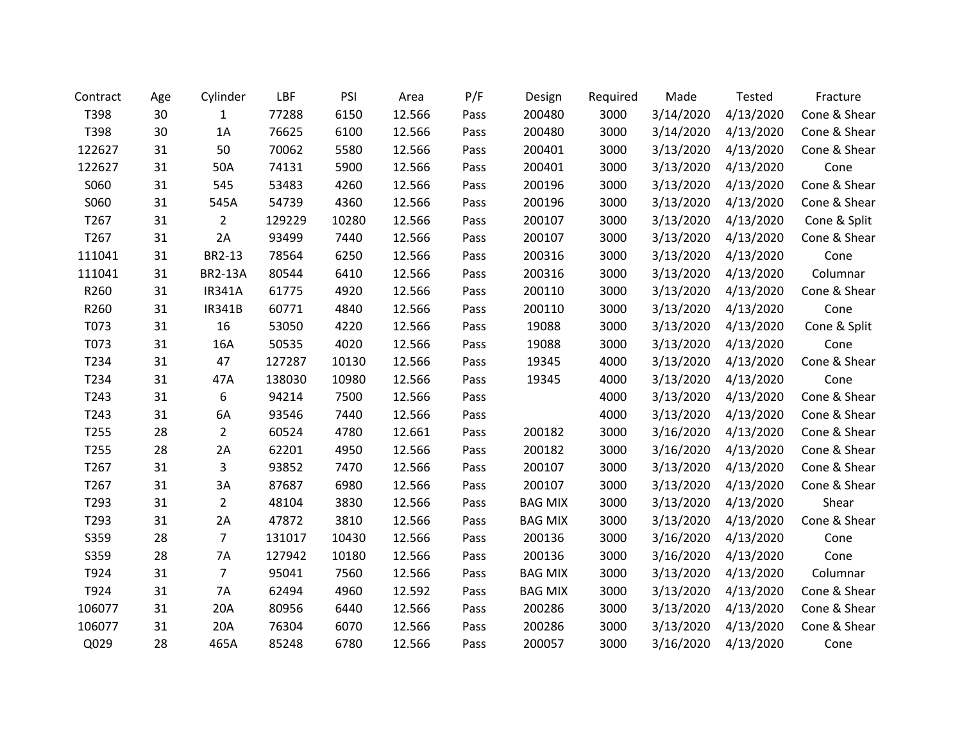| Contract | Age | Cylinder       | LBF    | PSI   | Area   | P/F  | Design         | Required | Made      | Tested    | Fracture     |
|----------|-----|----------------|--------|-------|--------|------|----------------|----------|-----------|-----------|--------------|
| T398     | 30  | 1              | 77288  | 6150  | 12.566 | Pass | 200480         | 3000     | 3/14/2020 | 4/13/2020 | Cone & Shear |
| T398     | 30  | 1A             | 76625  | 6100  | 12.566 | Pass | 200480         | 3000     | 3/14/2020 | 4/13/2020 | Cone & Shear |
| 122627   | 31  | 50             | 70062  | 5580  | 12.566 | Pass | 200401         | 3000     | 3/13/2020 | 4/13/2020 | Cone & Shear |
| 122627   | 31  | 50A            | 74131  | 5900  | 12.566 | Pass | 200401         | 3000     | 3/13/2020 | 4/13/2020 | Cone         |
| S060     | 31  | 545            | 53483  | 4260  | 12.566 | Pass | 200196         | 3000     | 3/13/2020 | 4/13/2020 | Cone & Shear |
| S060     | 31  | 545A           | 54739  | 4360  | 12.566 | Pass | 200196         | 3000     | 3/13/2020 | 4/13/2020 | Cone & Shear |
| T267     | 31  | $\overline{2}$ | 129229 | 10280 | 12.566 | Pass | 200107         | 3000     | 3/13/2020 | 4/13/2020 | Cone & Split |
| T267     | 31  | 2A             | 93499  | 7440  | 12.566 | Pass | 200107         | 3000     | 3/13/2020 | 4/13/2020 | Cone & Shear |
| 111041   | 31  | BR2-13         | 78564  | 6250  | 12.566 | Pass | 200316         | 3000     | 3/13/2020 | 4/13/2020 | Cone         |
| 111041   | 31  | <b>BR2-13A</b> | 80544  | 6410  | 12.566 | Pass | 200316         | 3000     | 3/13/2020 | 4/13/2020 | Columnar     |
| R260     | 31  | <b>IR341A</b>  | 61775  | 4920  | 12.566 | Pass | 200110         | 3000     | 3/13/2020 | 4/13/2020 | Cone & Shear |
| R260     | 31  | <b>IR341B</b>  | 60771  | 4840  | 12.566 | Pass | 200110         | 3000     | 3/13/2020 | 4/13/2020 | Cone         |
| T073     | 31  | 16             | 53050  | 4220  | 12.566 | Pass | 19088          | 3000     | 3/13/2020 | 4/13/2020 | Cone & Split |
| T073     | 31  | 16A            | 50535  | 4020  | 12.566 | Pass | 19088          | 3000     | 3/13/2020 | 4/13/2020 | Cone         |
| T234     | 31  | 47             | 127287 | 10130 | 12.566 | Pass | 19345          | 4000     | 3/13/2020 | 4/13/2020 | Cone & Shear |
| T234     | 31  | 47A            | 138030 | 10980 | 12.566 | Pass | 19345          | 4000     | 3/13/2020 | 4/13/2020 | Cone         |
| T243     | 31  | 6              | 94214  | 7500  | 12.566 | Pass |                | 4000     | 3/13/2020 | 4/13/2020 | Cone & Shear |
| T243     | 31  | 6A             | 93546  | 7440  | 12.566 | Pass |                | 4000     | 3/13/2020 | 4/13/2020 | Cone & Shear |
| T255     | 28  | $\overline{2}$ | 60524  | 4780  | 12.661 | Pass | 200182         | 3000     | 3/16/2020 | 4/13/2020 | Cone & Shear |
| T255     | 28  | 2A             | 62201  | 4950  | 12.566 | Pass | 200182         | 3000     | 3/16/2020 | 4/13/2020 | Cone & Shear |
| T267     | 31  | 3              | 93852  | 7470  | 12.566 | Pass | 200107         | 3000     | 3/13/2020 | 4/13/2020 | Cone & Shear |
| T267     | 31  | 3A             | 87687  | 6980  | 12.566 | Pass | 200107         | 3000     | 3/13/2020 | 4/13/2020 | Cone & Shear |
| T293     | 31  | $\overline{2}$ | 48104  | 3830  | 12.566 | Pass | <b>BAG MIX</b> | 3000     | 3/13/2020 | 4/13/2020 | Shear        |
| T293     | 31  | 2A             | 47872  | 3810  | 12.566 | Pass | <b>BAG MIX</b> | 3000     | 3/13/2020 | 4/13/2020 | Cone & Shear |
| S359     | 28  | $\overline{7}$ | 131017 | 10430 | 12.566 | Pass | 200136         | 3000     | 3/16/2020 | 4/13/2020 | Cone         |
| S359     | 28  | 7A             | 127942 | 10180 | 12.566 | Pass | 200136         | 3000     | 3/16/2020 | 4/13/2020 | Cone         |
| T924     | 31  | $\overline{7}$ | 95041  | 7560  | 12.566 | Pass | <b>BAG MIX</b> | 3000     | 3/13/2020 | 4/13/2020 | Columnar     |
| T924     | 31  | <b>7A</b>      | 62494  | 4960  | 12.592 | Pass | <b>BAG MIX</b> | 3000     | 3/13/2020 | 4/13/2020 | Cone & Shear |
| 106077   | 31  | 20A            | 80956  | 6440  | 12.566 | Pass | 200286         | 3000     | 3/13/2020 | 4/13/2020 | Cone & Shear |
| 106077   | 31  | 20A            | 76304  | 6070  | 12.566 | Pass | 200286         | 3000     | 3/13/2020 | 4/13/2020 | Cone & Shear |
| Q029     | 28  | 465A           | 85248  | 6780  | 12.566 | Pass | 200057         | 3000     | 3/16/2020 | 4/13/2020 | Cone         |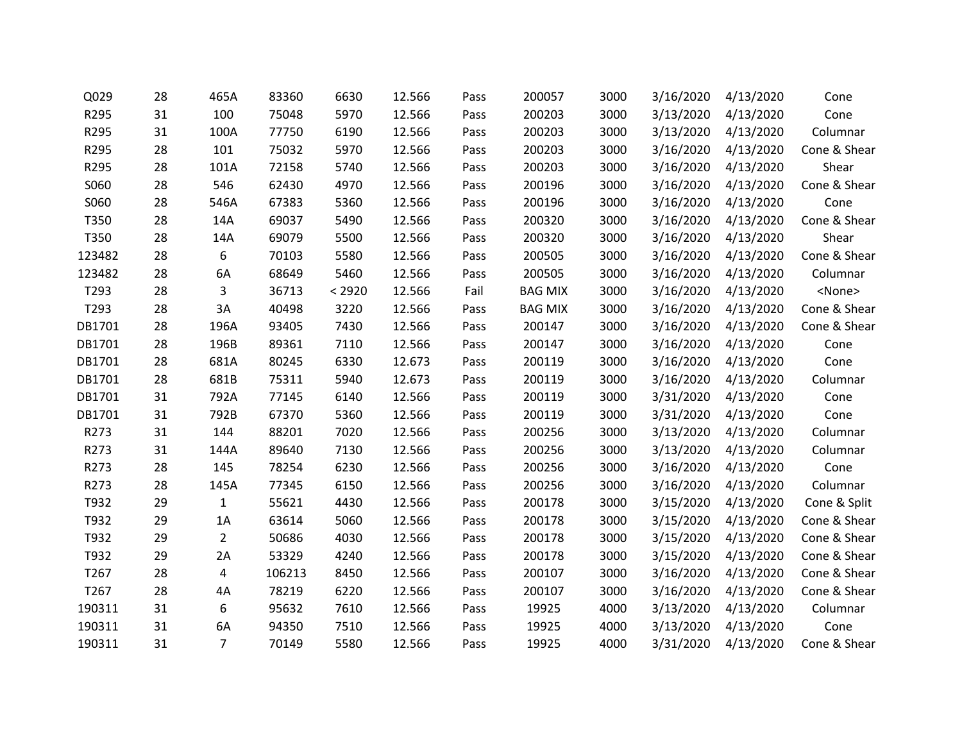| Q029   | 28 | 465A           | 83360  | 6630   | 12.566 | Pass | 200057         | 3000 | 3/16/2020 | 4/13/2020           | Cone          |
|--------|----|----------------|--------|--------|--------|------|----------------|------|-----------|---------------------|---------------|
| R295   | 31 | 100            | 75048  | 5970   | 12.566 | Pass | 200203         | 3000 | 3/13/2020 | 4/13/2020           | Cone          |
| R295   | 31 | 100A           | 77750  | 6190   | 12.566 | Pass | 200203         | 3000 | 3/13/2020 | 4/13/2020           | Columnar      |
| R295   | 28 | 101            | 75032  | 5970   | 12.566 | Pass | 200203         | 3000 | 3/16/2020 | 4/13/2020           | Cone & Shear  |
| R295   | 28 | 101A           | 72158  | 5740   | 12.566 | Pass | 200203         | 3000 | 3/16/2020 | 4/13/2020           | Shear         |
| S060   | 28 | 546            | 62430  | 4970   | 12.566 | Pass | 200196         | 3000 | 3/16/2020 | 4/13/2020           | Cone & Shear  |
| S060   | 28 | 546A           | 67383  | 5360   | 12.566 | Pass | 200196         | 3000 | 3/16/2020 | 4/13/2020           | Cone          |
| T350   | 28 | 14A            | 69037  | 5490   | 12.566 | Pass | 200320         | 3000 | 3/16/2020 | 4/13/2020           | Cone & Shear  |
| T350   | 28 | 14A            | 69079  | 5500   | 12.566 | Pass | 200320         | 3000 |           | 3/16/2020 4/13/2020 | Shear         |
| 123482 | 28 | 6              | 70103  | 5580   | 12.566 | Pass | 200505         | 3000 | 3/16/2020 | 4/13/2020           | Cone & Shear  |
| 123482 | 28 | 6A             | 68649  | 5460   | 12.566 | Pass | 200505         | 3000 | 3/16/2020 | 4/13/2020           | Columnar      |
| T293   | 28 | 3              | 36713  | < 2920 | 12.566 | Fail | <b>BAG MIX</b> | 3000 | 3/16/2020 | 4/13/2020           | <none></none> |
| T293   | 28 | 3A             | 40498  | 3220   | 12.566 | Pass | <b>BAG MIX</b> | 3000 | 3/16/2020 | 4/13/2020           | Cone & Shear  |
| DB1701 | 28 | 196A           | 93405  | 7430   | 12.566 | Pass | 200147         | 3000 | 3/16/2020 | 4/13/2020           | Cone & Shear  |
| DB1701 | 28 | 196B           | 89361  | 7110   | 12.566 | Pass | 200147         | 3000 | 3/16/2020 | 4/13/2020           | Cone          |
| DB1701 | 28 | 681A           | 80245  | 6330   | 12.673 | Pass | 200119         | 3000 | 3/16/2020 | 4/13/2020           | Cone          |
| DB1701 | 28 | 681B           | 75311  | 5940   | 12.673 | Pass | 200119         | 3000 | 3/16/2020 | 4/13/2020           | Columnar      |
| DB1701 | 31 | 792A           | 77145  | 6140   | 12.566 | Pass | 200119         | 3000 | 3/31/2020 | 4/13/2020           | Cone          |
| DB1701 | 31 | 792B           | 67370  | 5360   | 12.566 | Pass | 200119         | 3000 | 3/31/2020 | 4/13/2020           | Cone          |
| R273   | 31 | 144            | 88201  | 7020   | 12.566 | Pass | 200256         | 3000 | 3/13/2020 | 4/13/2020           | Columnar      |
| R273   | 31 | 144A           | 89640  | 7130   | 12.566 | Pass | 200256         | 3000 | 3/13/2020 | 4/13/2020           | Columnar      |
| R273   | 28 | 145            | 78254  | 6230   | 12.566 | Pass | 200256         | 3000 | 3/16/2020 | 4/13/2020           | Cone          |
| R273   | 28 | 145A           | 77345  | 6150   | 12.566 | Pass | 200256         | 3000 | 3/16/2020 | 4/13/2020           | Columnar      |
| T932   | 29 | $\mathbf{1}$   | 55621  | 4430   | 12.566 | Pass | 200178         | 3000 | 3/15/2020 | 4/13/2020           | Cone & Split  |
| T932   | 29 | 1A             | 63614  | 5060   | 12.566 | Pass | 200178         | 3000 | 3/15/2020 | 4/13/2020           | Cone & Shear  |
| T932   | 29 | $\overline{2}$ | 50686  | 4030   | 12.566 | Pass | 200178         | 3000 |           | 3/15/2020 4/13/2020 | Cone & Shear  |
| T932   | 29 | 2A             | 53329  | 4240   | 12.566 | Pass | 200178         | 3000 | 3/15/2020 | 4/13/2020           | Cone & Shear  |
| T267   | 28 | 4              | 106213 | 8450   | 12.566 | Pass | 200107         | 3000 | 3/16/2020 | 4/13/2020           | Cone & Shear  |
| T267   | 28 | 4A             | 78219  | 6220   | 12.566 | Pass | 200107         | 3000 | 3/16/2020 | 4/13/2020           | Cone & Shear  |
| 190311 | 31 | 6              | 95632  | 7610   | 12.566 | Pass | 19925          | 4000 | 3/13/2020 | 4/13/2020           | Columnar      |
| 190311 | 31 | 6A             | 94350  | 7510   | 12.566 | Pass | 19925          | 4000 | 3/13/2020 | 4/13/2020           | Cone          |
| 190311 | 31 | $\overline{7}$ | 70149  | 5580   | 12.566 | Pass | 19925          | 4000 | 3/31/2020 | 4/13/2020           | Cone & Shear  |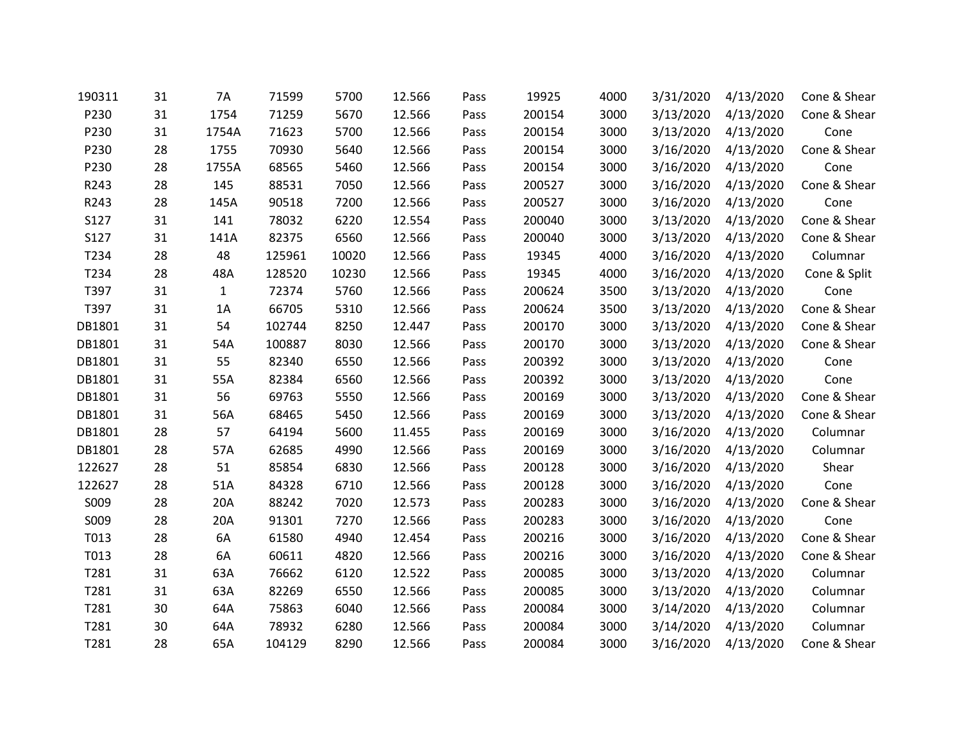| 190311 | 31 | 7A           | 71599  | 5700  | 12.566 | Pass | 19925  | 4000 | 3/31/2020 | 4/13/2020 | Cone & Shear |
|--------|----|--------------|--------|-------|--------|------|--------|------|-----------|-----------|--------------|
| P230   | 31 | 1754         | 71259  | 5670  | 12.566 | Pass | 200154 | 3000 | 3/13/2020 | 4/13/2020 | Cone & Shear |
| P230   | 31 | 1754A        | 71623  | 5700  | 12.566 | Pass | 200154 | 3000 | 3/13/2020 | 4/13/2020 | Cone         |
| P230   | 28 | 1755         | 70930  | 5640  | 12.566 | Pass | 200154 | 3000 | 3/16/2020 | 4/13/2020 | Cone & Shear |
| P230   | 28 | 1755A        | 68565  | 5460  | 12.566 | Pass | 200154 | 3000 | 3/16/2020 | 4/13/2020 | Cone         |
| R243   | 28 | 145          | 88531  | 7050  | 12.566 | Pass | 200527 | 3000 | 3/16/2020 | 4/13/2020 | Cone & Shear |
| R243   | 28 | 145A         | 90518  | 7200  | 12.566 | Pass | 200527 | 3000 | 3/16/2020 | 4/13/2020 | Cone         |
| S127   | 31 | 141          | 78032  | 6220  | 12.554 | Pass | 200040 | 3000 | 3/13/2020 | 4/13/2020 | Cone & Shear |
| S127   | 31 | 141A         | 82375  | 6560  | 12.566 | Pass | 200040 | 3000 | 3/13/2020 | 4/13/2020 | Cone & Shear |
| T234   | 28 | 48           | 125961 | 10020 | 12.566 | Pass | 19345  | 4000 | 3/16/2020 | 4/13/2020 | Columnar     |
| T234   | 28 | 48A          | 128520 | 10230 | 12.566 | Pass | 19345  | 4000 | 3/16/2020 | 4/13/2020 | Cone & Split |
| T397   | 31 | $\mathbf{1}$ | 72374  | 5760  | 12.566 | Pass | 200624 | 3500 | 3/13/2020 | 4/13/2020 | Cone         |
| T397   | 31 | 1A           | 66705  | 5310  | 12.566 | Pass | 200624 | 3500 | 3/13/2020 | 4/13/2020 | Cone & Shear |
| DB1801 | 31 | 54           | 102744 | 8250  | 12.447 | Pass | 200170 | 3000 | 3/13/2020 | 4/13/2020 | Cone & Shear |
| DB1801 | 31 | 54A          | 100887 | 8030  | 12.566 | Pass | 200170 | 3000 | 3/13/2020 | 4/13/2020 | Cone & Shear |
| DB1801 | 31 | 55           | 82340  | 6550  | 12.566 | Pass | 200392 | 3000 | 3/13/2020 | 4/13/2020 | Cone         |
| DB1801 | 31 | 55A          | 82384  | 6560  | 12.566 | Pass | 200392 | 3000 | 3/13/2020 | 4/13/2020 | Cone         |
| DB1801 | 31 | 56           | 69763  | 5550  | 12.566 | Pass | 200169 | 3000 | 3/13/2020 | 4/13/2020 | Cone & Shear |
| DB1801 | 31 | 56A          | 68465  | 5450  | 12.566 | Pass | 200169 | 3000 | 3/13/2020 | 4/13/2020 | Cone & Shear |
| DB1801 | 28 | 57           | 64194  | 5600  | 11.455 | Pass | 200169 | 3000 | 3/16/2020 | 4/13/2020 | Columnar     |
| DB1801 | 28 | 57A          | 62685  | 4990  | 12.566 | Pass | 200169 | 3000 | 3/16/2020 | 4/13/2020 | Columnar     |
| 122627 | 28 | 51           | 85854  | 6830  | 12.566 | Pass | 200128 | 3000 | 3/16/2020 | 4/13/2020 | Shear        |
| 122627 | 28 | 51A          | 84328  | 6710  | 12.566 | Pass | 200128 | 3000 | 3/16/2020 | 4/13/2020 | Cone         |
| S009   | 28 | 20A          | 88242  | 7020  | 12.573 | Pass | 200283 | 3000 | 3/16/2020 | 4/13/2020 | Cone & Shear |
| S009   | 28 | 20A          | 91301  | 7270  | 12.566 | Pass | 200283 | 3000 | 3/16/2020 | 4/13/2020 | Cone         |
| T013   | 28 | 6A           | 61580  | 4940  | 12.454 | Pass | 200216 | 3000 | 3/16/2020 | 4/13/2020 | Cone & Shear |
| T013   | 28 | 6A           | 60611  | 4820  | 12.566 | Pass | 200216 | 3000 | 3/16/2020 | 4/13/2020 | Cone & Shear |
| T281   | 31 | 63A          | 76662  | 6120  | 12.522 | Pass | 200085 | 3000 | 3/13/2020 | 4/13/2020 | Columnar     |
| T281   | 31 | 63A          | 82269  | 6550  | 12.566 | Pass | 200085 | 3000 | 3/13/2020 | 4/13/2020 | Columnar     |
| T281   | 30 | 64A          | 75863  | 6040  | 12.566 | Pass | 200084 | 3000 | 3/14/2020 | 4/13/2020 | Columnar     |
| T281   | 30 | 64A          | 78932  | 6280  | 12.566 | Pass | 200084 | 3000 | 3/14/2020 | 4/13/2020 | Columnar     |
| T281   | 28 | 65A          | 104129 | 8290  | 12.566 | Pass | 200084 | 3000 | 3/16/2020 | 4/13/2020 | Cone & Shear |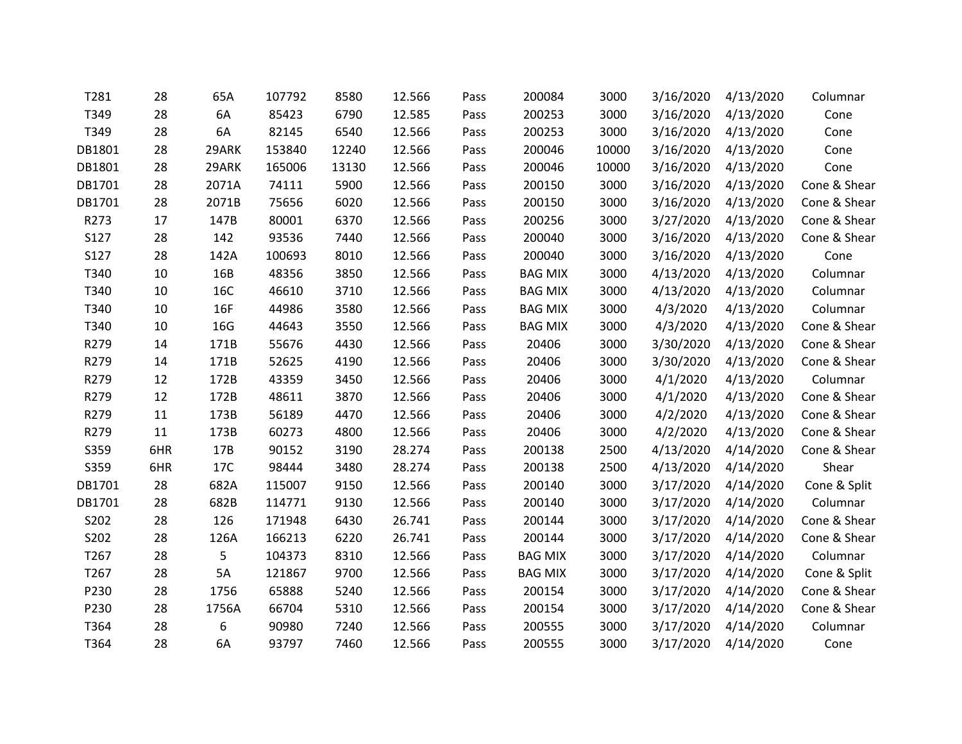| T281   | 28  | 65A   | 107792 | 8580  | 12.566 | Pass | 200084         | 3000  | 3/16/2020 | 4/13/2020 | Columnar     |
|--------|-----|-------|--------|-------|--------|------|----------------|-------|-----------|-----------|--------------|
| T349   | 28  | 6A    | 85423  | 6790  | 12.585 | Pass | 200253         | 3000  | 3/16/2020 | 4/13/2020 | Cone         |
| T349   | 28  | 6A    | 82145  | 6540  | 12.566 | Pass | 200253         | 3000  | 3/16/2020 | 4/13/2020 | Cone         |
| DB1801 | 28  | 29ARK | 153840 | 12240 | 12.566 | Pass | 200046         | 10000 | 3/16/2020 | 4/13/2020 | Cone         |
| DB1801 | 28  | 29ARK | 165006 | 13130 | 12.566 | Pass | 200046         | 10000 | 3/16/2020 | 4/13/2020 | Cone         |
| DB1701 | 28  | 2071A | 74111  | 5900  | 12.566 | Pass | 200150         | 3000  | 3/16/2020 | 4/13/2020 | Cone & Shear |
| DB1701 | 28  | 2071B | 75656  | 6020  | 12.566 | Pass | 200150         | 3000  | 3/16/2020 | 4/13/2020 | Cone & Shear |
| R273   | 17  | 147B  | 80001  | 6370  | 12.566 | Pass | 200256         | 3000  | 3/27/2020 | 4/13/2020 | Cone & Shear |
| S127   | 28  | 142   | 93536  | 7440  | 12.566 | Pass | 200040         | 3000  | 3/16/2020 | 4/13/2020 | Cone & Shear |
| S127   | 28  | 142A  | 100693 | 8010  | 12.566 | Pass | 200040         | 3000  | 3/16/2020 | 4/13/2020 | Cone         |
| T340   | 10  | 16B   | 48356  | 3850  | 12.566 | Pass | <b>BAG MIX</b> | 3000  | 4/13/2020 | 4/13/2020 | Columnar     |
| T340   | 10  | 16C   | 46610  | 3710  | 12.566 | Pass | <b>BAG MIX</b> | 3000  | 4/13/2020 | 4/13/2020 | Columnar     |
| T340   | 10  | 16F   | 44986  | 3580  | 12.566 | Pass | <b>BAG MIX</b> | 3000  | 4/3/2020  | 4/13/2020 | Columnar     |
| T340   | 10  | 16G   | 44643  | 3550  | 12.566 | Pass | <b>BAG MIX</b> | 3000  | 4/3/2020  | 4/13/2020 | Cone & Shear |
| R279   | 14  | 171B  | 55676  | 4430  | 12.566 | Pass | 20406          | 3000  | 3/30/2020 | 4/13/2020 | Cone & Shear |
| R279   | 14  | 171B  | 52625  | 4190  | 12.566 | Pass | 20406          | 3000  | 3/30/2020 | 4/13/2020 | Cone & Shear |
| R279   | 12  | 172B  | 43359  | 3450  | 12.566 | Pass | 20406          | 3000  | 4/1/2020  | 4/13/2020 | Columnar     |
| R279   | 12  | 172B  | 48611  | 3870  | 12.566 | Pass | 20406          | 3000  | 4/1/2020  | 4/13/2020 | Cone & Shear |
| R279   | 11  | 173B  | 56189  | 4470  | 12.566 | Pass | 20406          | 3000  | 4/2/2020  | 4/13/2020 | Cone & Shear |
| R279   | 11  | 173B  | 60273  | 4800  | 12.566 | Pass | 20406          | 3000  | 4/2/2020  | 4/13/2020 | Cone & Shear |
| S359   | 6HR | 17B   | 90152  | 3190  | 28.274 | Pass | 200138         | 2500  | 4/13/2020 | 4/14/2020 | Cone & Shear |
| S359   | 6HR | 17C   | 98444  | 3480  | 28.274 | Pass | 200138         | 2500  | 4/13/2020 | 4/14/2020 | Shear        |
| DB1701 | 28  | 682A  | 115007 | 9150  | 12.566 | Pass | 200140         | 3000  | 3/17/2020 | 4/14/2020 | Cone & Split |
| DB1701 | 28  | 682B  | 114771 | 9130  | 12.566 | Pass | 200140         | 3000  | 3/17/2020 | 4/14/2020 | Columnar     |
| S202   | 28  | 126   | 171948 | 6430  | 26.741 | Pass | 200144         | 3000  | 3/17/2020 | 4/14/2020 | Cone & Shear |
| S202   | 28  | 126A  | 166213 | 6220  | 26.741 | Pass | 200144         | 3000  | 3/17/2020 | 4/14/2020 | Cone & Shear |
| T267   | 28  | 5     | 104373 | 8310  | 12.566 | Pass | <b>BAG MIX</b> | 3000  | 3/17/2020 | 4/14/2020 | Columnar     |
| T267   | 28  | 5A    | 121867 | 9700  | 12.566 | Pass | <b>BAG MIX</b> | 3000  | 3/17/2020 | 4/14/2020 | Cone & Split |
| P230   | 28  | 1756  | 65888  | 5240  | 12.566 | Pass | 200154         | 3000  | 3/17/2020 | 4/14/2020 | Cone & Shear |
| P230   | 28  | 1756A | 66704  | 5310  | 12.566 | Pass | 200154         | 3000  | 3/17/2020 | 4/14/2020 | Cone & Shear |
| T364   | 28  | 6     | 90980  | 7240  | 12.566 | Pass | 200555         | 3000  | 3/17/2020 | 4/14/2020 | Columnar     |
| T364   | 28  | 6A    | 93797  | 7460  | 12.566 | Pass | 200555         | 3000  | 3/17/2020 | 4/14/2020 | Cone         |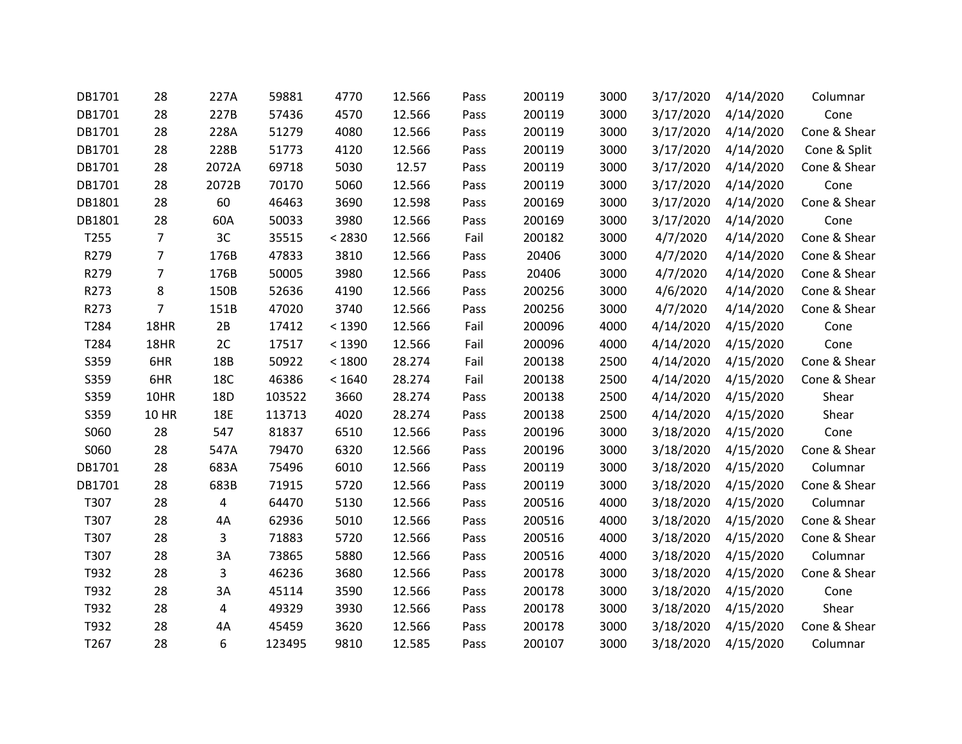| DB1701           | 28             | 227A       | 59881  | 4770   | 12.566 | Pass | 200119 | 3000 | 3/17/2020 | 4/14/2020           | Columnar     |
|------------------|----------------|------------|--------|--------|--------|------|--------|------|-----------|---------------------|--------------|
| DB1701           | 28             | 227B       | 57436  | 4570   | 12.566 | Pass | 200119 | 3000 | 3/17/2020 | 4/14/2020           | Cone         |
| DB1701           | 28             | 228A       | 51279  | 4080   | 12.566 | Pass | 200119 | 3000 | 3/17/2020 | 4/14/2020           | Cone & Shear |
| DB1701           | 28             | 228B       | 51773  | 4120   | 12.566 | Pass | 200119 | 3000 | 3/17/2020 | 4/14/2020           | Cone & Split |
| DB1701           | 28             | 2072A      | 69718  | 5030   | 12.57  | Pass | 200119 | 3000 | 3/17/2020 | 4/14/2020           | Cone & Shear |
| DB1701           | 28             | 2072B      | 70170  | 5060   | 12.566 | Pass | 200119 | 3000 | 3/17/2020 | 4/14/2020           | Cone         |
| DB1801           | 28             | 60         | 46463  | 3690   | 12.598 | Pass | 200169 | 3000 | 3/17/2020 | 4/14/2020           | Cone & Shear |
| DB1801           | 28             | 60A        | 50033  | 3980   | 12.566 | Pass | 200169 | 3000 | 3/17/2020 | 4/14/2020           | Cone         |
| T255             | $\overline{7}$ | 3C         | 35515  | < 2830 | 12.566 | Fail | 200182 | 3000 | 4/7/2020  | 4/14/2020           | Cone & Shear |
| R279             | $\overline{7}$ | 176B       | 47833  | 3810   | 12.566 | Pass | 20406  | 3000 | 4/7/2020  | 4/14/2020           | Cone & Shear |
| R279             | $\overline{7}$ | 176B       | 50005  | 3980   | 12.566 | Pass | 20406  | 3000 | 4/7/2020  | 4/14/2020           | Cone & Shear |
| R273             | 8              | 150B       | 52636  | 4190   | 12.566 | Pass | 200256 | 3000 | 4/6/2020  | 4/14/2020           | Cone & Shear |
| R273             | $\overline{7}$ | 151B       | 47020  | 3740   | 12.566 | Pass | 200256 | 3000 | 4/7/2020  | 4/14/2020           | Cone & Shear |
| T284             | 18HR           | 2B         | 17412  | < 1390 | 12.566 | Fail | 200096 | 4000 | 4/14/2020 | 4/15/2020           | Cone         |
| T284             | 18HR           | 2C         | 17517  | < 1390 | 12.566 | Fail | 200096 | 4000 | 4/14/2020 | 4/15/2020           | Cone         |
| S359             | 6HR            | 18B        | 50922  | < 1800 | 28.274 | Fail | 200138 | 2500 | 4/14/2020 | 4/15/2020           | Cone & Shear |
| S359             | 6HR            | 18C        | 46386  | < 1640 | 28.274 | Fail | 200138 | 2500 | 4/14/2020 | 4/15/2020           | Cone & Shear |
| S359             | 10HR           | 18D        | 103522 | 3660   | 28.274 | Pass | 200138 | 2500 | 4/14/2020 | 4/15/2020           | Shear        |
| S359             | <b>10 HR</b>   | <b>18E</b> | 113713 | 4020   | 28.274 | Pass | 200138 | 2500 | 4/14/2020 | 4/15/2020           | Shear        |
| S060             | 28             | 547        | 81837  | 6510   | 12.566 | Pass | 200196 | 3000 | 3/18/2020 | 4/15/2020           | Cone         |
| S060             | 28             | 547A       | 79470  | 6320   | 12.566 | Pass | 200196 | 3000 | 3/18/2020 | 4/15/2020           | Cone & Shear |
| DB1701           | 28             | 683A       | 75496  | 6010   | 12.566 | Pass | 200119 | 3000 | 3/18/2020 | 4/15/2020           | Columnar     |
| DB1701           | 28             | 683B       | 71915  | 5720   | 12.566 | Pass | 200119 | 3000 | 3/18/2020 | 4/15/2020           | Cone & Shear |
| T307             | 28             | 4          | 64470  | 5130   | 12.566 | Pass | 200516 | 4000 | 3/18/2020 | 4/15/2020           | Columnar     |
| T307             | 28             | 4A         | 62936  | 5010   | 12.566 | Pass | 200516 | 4000 | 3/18/2020 | 4/15/2020           | Cone & Shear |
| T307             | 28             | 3          | 71883  | 5720   | 12.566 | Pass | 200516 | 4000 |           | 3/18/2020 4/15/2020 | Cone & Shear |
| T307             | 28             | 3A         | 73865  | 5880   | 12.566 | Pass | 200516 | 4000 | 3/18/2020 | 4/15/2020           | Columnar     |
| T932             | 28             | 3          | 46236  | 3680   | 12.566 | Pass | 200178 | 3000 | 3/18/2020 | 4/15/2020           | Cone & Shear |
| T932             | 28             | 3A         | 45114  | 3590   | 12.566 | Pass | 200178 | 3000 | 3/18/2020 | 4/15/2020           | Cone         |
| T932             | 28             | 4          | 49329  | 3930   | 12.566 | Pass | 200178 | 3000 | 3/18/2020 | 4/15/2020           | Shear        |
| T932             | 28             | 4A         | 45459  | 3620   | 12.566 | Pass | 200178 | 3000 | 3/18/2020 | 4/15/2020           | Cone & Shear |
| T <sub>267</sub> | 28             | 6          | 123495 | 9810   | 12.585 | Pass | 200107 | 3000 | 3/18/2020 | 4/15/2020           | Columnar     |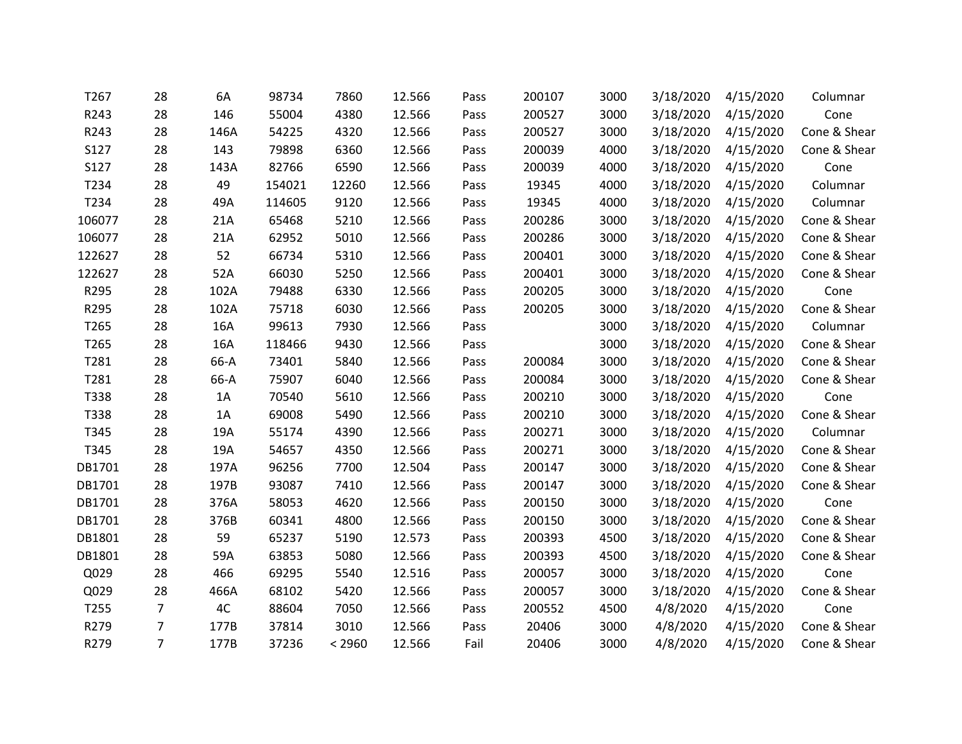| T267   | 28             | 6A   | 98734  | 7860   | 12.566 | Pass | 200107 | 3000 | 3/18/2020 | 4/15/2020 | Columnar     |
|--------|----------------|------|--------|--------|--------|------|--------|------|-----------|-----------|--------------|
| R243   | 28             | 146  | 55004  | 4380   | 12.566 | Pass | 200527 | 3000 | 3/18/2020 | 4/15/2020 | Cone         |
| R243   | 28             | 146A | 54225  | 4320   | 12.566 | Pass | 200527 | 3000 | 3/18/2020 | 4/15/2020 | Cone & Shear |
| S127   | 28             | 143  | 79898  | 6360   | 12.566 | Pass | 200039 | 4000 | 3/18/2020 | 4/15/2020 | Cone & Shear |
| S127   | 28             | 143A | 82766  | 6590   | 12.566 | Pass | 200039 | 4000 | 3/18/2020 | 4/15/2020 | Cone         |
| T234   | 28             | 49   | 154021 | 12260  | 12.566 | Pass | 19345  | 4000 | 3/18/2020 | 4/15/2020 | Columnar     |
| T234   | 28             | 49A  | 114605 | 9120   | 12.566 | Pass | 19345  | 4000 | 3/18/2020 | 4/15/2020 | Columnar     |
| 106077 | 28             | 21A  | 65468  | 5210   | 12.566 | Pass | 200286 | 3000 | 3/18/2020 | 4/15/2020 | Cone & Shear |
| 106077 | 28             | 21A  | 62952  | 5010   | 12.566 | Pass | 200286 | 3000 | 3/18/2020 | 4/15/2020 | Cone & Shear |
| 122627 | 28             | 52   | 66734  | 5310   | 12.566 | Pass | 200401 | 3000 | 3/18/2020 | 4/15/2020 | Cone & Shear |
| 122627 | 28             | 52A  | 66030  | 5250   | 12.566 | Pass | 200401 | 3000 | 3/18/2020 | 4/15/2020 | Cone & Shear |
| R295   | 28             | 102A | 79488  | 6330   | 12.566 | Pass | 200205 | 3000 | 3/18/2020 | 4/15/2020 | Cone         |
| R295   | 28             | 102A | 75718  | 6030   | 12.566 | Pass | 200205 | 3000 | 3/18/2020 | 4/15/2020 | Cone & Shear |
| T265   | 28             | 16A  | 99613  | 7930   | 12.566 | Pass |        | 3000 | 3/18/2020 | 4/15/2020 | Columnar     |
| T265   | 28             | 16A  | 118466 | 9430   | 12.566 | Pass |        | 3000 | 3/18/2020 | 4/15/2020 | Cone & Shear |
| T281   | 28             | 66-A | 73401  | 5840   | 12.566 | Pass | 200084 | 3000 | 3/18/2020 | 4/15/2020 | Cone & Shear |
| T281   | 28             | 66-A | 75907  | 6040   | 12.566 | Pass | 200084 | 3000 | 3/18/2020 | 4/15/2020 | Cone & Shear |
| T338   | 28             | 1A   | 70540  | 5610   | 12.566 | Pass | 200210 | 3000 | 3/18/2020 | 4/15/2020 | Cone         |
| T338   | 28             | 1A   | 69008  | 5490   | 12.566 | Pass | 200210 | 3000 | 3/18/2020 | 4/15/2020 | Cone & Shear |
| T345   | 28             | 19A  | 55174  | 4390   | 12.566 | Pass | 200271 | 3000 | 3/18/2020 | 4/15/2020 | Columnar     |
| T345   | 28             | 19A  | 54657  | 4350   | 12.566 | Pass | 200271 | 3000 | 3/18/2020 | 4/15/2020 | Cone & Shear |
| DB1701 | 28             | 197A | 96256  | 7700   | 12.504 | Pass | 200147 | 3000 | 3/18/2020 | 4/15/2020 | Cone & Shear |
| DB1701 | 28             | 197B | 93087  | 7410   | 12.566 | Pass | 200147 | 3000 | 3/18/2020 | 4/15/2020 | Cone & Shear |
| DB1701 | 28             | 376A | 58053  | 4620   | 12.566 | Pass | 200150 | 3000 | 3/18/2020 | 4/15/2020 | Cone         |
| DB1701 | 28             | 376B | 60341  | 4800   | 12.566 | Pass | 200150 | 3000 | 3/18/2020 | 4/15/2020 | Cone & Shear |
| DB1801 | 28             | 59   | 65237  | 5190   | 12.573 | Pass | 200393 | 4500 | 3/18/2020 | 4/15/2020 | Cone & Shear |
| DB1801 | 28             | 59A  | 63853  | 5080   | 12.566 | Pass | 200393 | 4500 | 3/18/2020 | 4/15/2020 | Cone & Shear |
| Q029   | 28             | 466  | 69295  | 5540   | 12.516 | Pass | 200057 | 3000 | 3/18/2020 | 4/15/2020 | Cone         |
| Q029   | 28             | 466A | 68102  | 5420   | 12.566 | Pass | 200057 | 3000 | 3/18/2020 | 4/15/2020 | Cone & Shear |
| T255   | $\overline{7}$ | 4C   | 88604  | 7050   | 12.566 | Pass | 200552 | 4500 | 4/8/2020  | 4/15/2020 | Cone         |
| R279   | 7              | 177B | 37814  | 3010   | 12.566 | Pass | 20406  | 3000 | 4/8/2020  | 4/15/2020 | Cone & Shear |
| R279   | $\overline{7}$ | 177B | 37236  | < 2960 | 12.566 | Fail | 20406  | 3000 | 4/8/2020  | 4/15/2020 | Cone & Shear |
|        |                |      |        |        |        |      |        |      |           |           |              |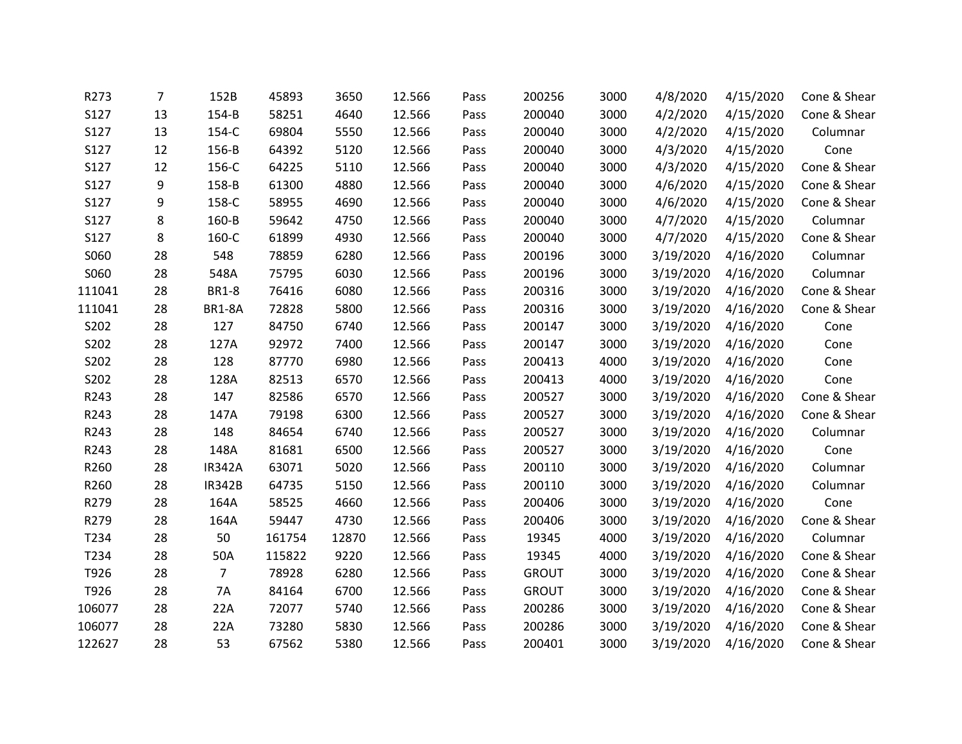| R273   | $\overline{7}$ | 152B           | 45893  | 3650  | 12.566 | Pass | 200256       | 3000 | 4/8/2020  | 4/15/2020 | Cone & Shear |
|--------|----------------|----------------|--------|-------|--------|------|--------------|------|-----------|-----------|--------------|
| S127   | 13             | 154-B          | 58251  | 4640  | 12.566 | Pass | 200040       | 3000 | 4/2/2020  | 4/15/2020 | Cone & Shear |
| S127   | 13             | 154-C          | 69804  | 5550  | 12.566 | Pass | 200040       | 3000 | 4/2/2020  | 4/15/2020 | Columnar     |
| S127   | 12             | 156-B          | 64392  | 5120  | 12.566 | Pass | 200040       | 3000 | 4/3/2020  | 4/15/2020 | Cone         |
| S127   | 12             | 156-C          | 64225  | 5110  | 12.566 | Pass | 200040       | 3000 | 4/3/2020  | 4/15/2020 | Cone & Shear |
| S127   | 9              | 158-B          | 61300  | 4880  | 12.566 | Pass | 200040       | 3000 | 4/6/2020  | 4/15/2020 | Cone & Shear |
| S127   | 9              | 158-C          | 58955  | 4690  | 12.566 | Pass | 200040       | 3000 | 4/6/2020  | 4/15/2020 | Cone & Shear |
| S127   | 8              | 160-B          | 59642  | 4750  | 12.566 | Pass | 200040       | 3000 | 4/7/2020  | 4/15/2020 | Columnar     |
| S127   | 8              | 160-C          | 61899  | 4930  | 12.566 | Pass | 200040       | 3000 | 4/7/2020  | 4/15/2020 | Cone & Shear |
| S060   | 28             | 548            | 78859  | 6280  | 12.566 | Pass | 200196       | 3000 | 3/19/2020 | 4/16/2020 | Columnar     |
| S060   | 28             | 548A           | 75795  | 6030  | 12.566 | Pass | 200196       | 3000 | 3/19/2020 | 4/16/2020 | Columnar     |
| 111041 | 28             | <b>BR1-8</b>   | 76416  | 6080  | 12.566 | Pass | 200316       | 3000 | 3/19/2020 | 4/16/2020 | Cone & Shear |
| 111041 | 28             | <b>BR1-8A</b>  | 72828  | 5800  | 12.566 | Pass | 200316       | 3000 | 3/19/2020 | 4/16/2020 | Cone & Shear |
| S202   | 28             | 127            | 84750  | 6740  | 12.566 | Pass | 200147       | 3000 | 3/19/2020 | 4/16/2020 | Cone         |
| S202   | 28             | 127A           | 92972  | 7400  | 12.566 | Pass | 200147       | 3000 | 3/19/2020 | 4/16/2020 | Cone         |
| S202   | 28             | 128            | 87770  | 6980  | 12.566 | Pass | 200413       | 4000 | 3/19/2020 | 4/16/2020 | Cone         |
| S202   | 28             | 128A           | 82513  | 6570  | 12.566 | Pass | 200413       | 4000 | 3/19/2020 | 4/16/2020 | Cone         |
| R243   | 28             | 147            | 82586  | 6570  | 12.566 | Pass | 200527       | 3000 | 3/19/2020 | 4/16/2020 | Cone & Shear |
| R243   | 28             | 147A           | 79198  | 6300  | 12.566 | Pass | 200527       | 3000 | 3/19/2020 | 4/16/2020 | Cone & Shear |
| R243   | 28             | 148            | 84654  | 6740  | 12.566 | Pass | 200527       | 3000 | 3/19/2020 | 4/16/2020 | Columnar     |
| R243   | 28             | 148A           | 81681  | 6500  | 12.566 | Pass | 200527       | 3000 | 3/19/2020 | 4/16/2020 | Cone         |
| R260   | 28             | <b>IR342A</b>  | 63071  | 5020  | 12.566 | Pass | 200110       | 3000 | 3/19/2020 | 4/16/2020 | Columnar     |
| R260   | 28             | <b>IR342B</b>  | 64735  | 5150  | 12.566 | Pass | 200110       | 3000 | 3/19/2020 | 4/16/2020 | Columnar     |
| R279   | 28             | 164A           | 58525  | 4660  | 12.566 | Pass | 200406       | 3000 | 3/19/2020 | 4/16/2020 | Cone         |
| R279   | 28             | 164A           | 59447  | 4730  | 12.566 | Pass | 200406       | 3000 | 3/19/2020 | 4/16/2020 | Cone & Shear |
| T234   | 28             | 50             | 161754 | 12870 | 12.566 | Pass | 19345        | 4000 | 3/19/2020 | 4/16/2020 | Columnar     |
| T234   | 28             | 50A            | 115822 | 9220  | 12.566 | Pass | 19345        | 4000 | 3/19/2020 | 4/16/2020 | Cone & Shear |
| T926   | 28             | $\overline{7}$ | 78928  | 6280  | 12.566 | Pass | <b>GROUT</b> | 3000 | 3/19/2020 | 4/16/2020 | Cone & Shear |
| T926   | 28             | <b>7A</b>      | 84164  | 6700  | 12.566 | Pass | <b>GROUT</b> | 3000 | 3/19/2020 | 4/16/2020 | Cone & Shear |
| 106077 | 28             | 22A            | 72077  | 5740  | 12.566 | Pass | 200286       | 3000 | 3/19/2020 | 4/16/2020 | Cone & Shear |
| 106077 | 28             | 22A            | 73280  | 5830  | 12.566 | Pass | 200286       | 3000 | 3/19/2020 | 4/16/2020 | Cone & Shear |
| 122627 | 28             | 53             | 67562  | 5380  | 12.566 | Pass | 200401       | 3000 | 3/19/2020 | 4/16/2020 | Cone & Shear |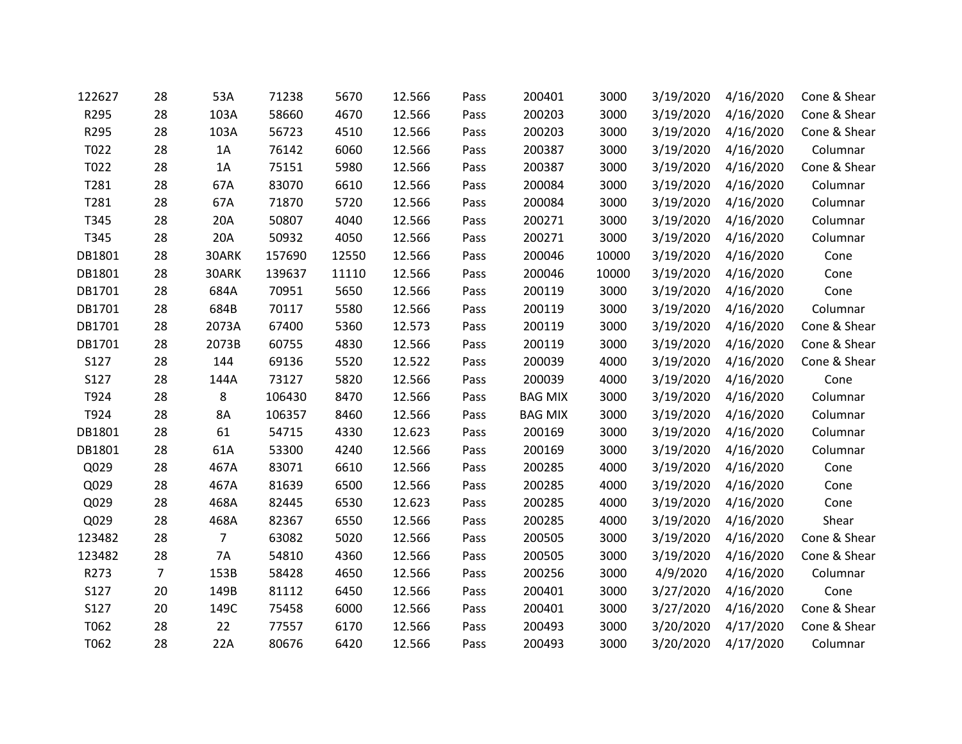| 122627 | 28             | 53A            | 71238  | 5670  | 12.566 | Pass | 200401         | 3000  | 3/19/2020 | 4/16/2020           | Cone & Shear |
|--------|----------------|----------------|--------|-------|--------|------|----------------|-------|-----------|---------------------|--------------|
| R295   | 28             | 103A           | 58660  | 4670  | 12.566 | Pass | 200203         | 3000  | 3/19/2020 | 4/16/2020           | Cone & Shear |
| R295   | 28             | 103A           | 56723  | 4510  | 12.566 | Pass | 200203         | 3000  | 3/19/2020 | 4/16/2020           | Cone & Shear |
| T022   | 28             | 1A             | 76142  | 6060  | 12.566 | Pass | 200387         | 3000  | 3/19/2020 | 4/16/2020           | Columnar     |
| T022   | 28             | 1A             | 75151  | 5980  | 12.566 | Pass | 200387         | 3000  | 3/19/2020 | 4/16/2020           | Cone & Shear |
| T281   | 28             | 67A            | 83070  | 6610  | 12.566 | Pass | 200084         | 3000  | 3/19/2020 | 4/16/2020           | Columnar     |
| T281   | 28             | 67A            | 71870  | 5720  | 12.566 | Pass | 200084         | 3000  | 3/19/2020 | 4/16/2020           | Columnar     |
| T345   | 28             | 20A            | 50807  | 4040  | 12.566 | Pass | 200271         | 3000  | 3/19/2020 | 4/16/2020           | Columnar     |
| T345   | 28             | 20A            | 50932  | 4050  | 12.566 | Pass | 200271         | 3000  |           | 3/19/2020 4/16/2020 | Columnar     |
| DB1801 | 28             | 30ARK          | 157690 | 12550 | 12.566 | Pass | 200046         | 10000 | 3/19/2020 | 4/16/2020           | Cone         |
| DB1801 | 28             | 30ARK          | 139637 | 11110 | 12.566 | Pass | 200046         | 10000 | 3/19/2020 | 4/16/2020           | Cone         |
| DB1701 | 28             | 684A           | 70951  | 5650  | 12.566 | Pass | 200119         | 3000  | 3/19/2020 | 4/16/2020           | Cone         |
| DB1701 | 28             | 684B           | 70117  | 5580  | 12.566 | Pass | 200119         | 3000  | 3/19/2020 | 4/16/2020           | Columnar     |
| DB1701 | 28             | 2073A          | 67400  | 5360  | 12.573 | Pass | 200119         | 3000  | 3/19/2020 | 4/16/2020           | Cone & Shear |
| DB1701 | 28             | 2073B          | 60755  | 4830  | 12.566 | Pass | 200119         | 3000  | 3/19/2020 | 4/16/2020           | Cone & Shear |
| S127   | 28             | 144            | 69136  | 5520  | 12.522 | Pass | 200039         | 4000  | 3/19/2020 | 4/16/2020           | Cone & Shear |
| S127   | 28             | 144A           | 73127  | 5820  | 12.566 | Pass | 200039         | 4000  | 3/19/2020 | 4/16/2020           | Cone         |
| T924   | 28             | 8              | 106430 | 8470  | 12.566 | Pass | <b>BAG MIX</b> | 3000  | 3/19/2020 | 4/16/2020           | Columnar     |
| T924   | 28             | <b>8A</b>      | 106357 | 8460  | 12.566 | Pass | <b>BAG MIX</b> | 3000  | 3/19/2020 | 4/16/2020           | Columnar     |
| DB1801 | 28             | 61             | 54715  | 4330  | 12.623 | Pass | 200169         | 3000  | 3/19/2020 | 4/16/2020           | Columnar     |
| DB1801 | 28             | 61A            | 53300  | 4240  | 12.566 | Pass | 200169         | 3000  | 3/19/2020 | 4/16/2020           | Columnar     |
| Q029   | 28             | 467A           | 83071  | 6610  | 12.566 | Pass | 200285         | 4000  | 3/19/2020 | 4/16/2020           | Cone         |
| Q029   | 28             | 467A           | 81639  | 6500  | 12.566 | Pass | 200285         | 4000  | 3/19/2020 | 4/16/2020           | Cone         |
| Q029   | 28             | 468A           | 82445  | 6530  | 12.623 | Pass | 200285         | 4000  | 3/19/2020 | 4/16/2020           | Cone         |
| Q029   | 28             | 468A           | 82367  | 6550  | 12.566 | Pass | 200285         | 4000  | 3/19/2020 | 4/16/2020           | Shear        |
| 123482 | 28             | $\overline{7}$ | 63082  | 5020  | 12.566 | Pass | 200505         | 3000  | 3/19/2020 | 4/16/2020           | Cone & Shear |
| 123482 | 28             | <b>7A</b>      | 54810  | 4360  | 12.566 | Pass | 200505         | 3000  | 3/19/2020 | 4/16/2020           | Cone & Shear |
| R273   | $\overline{7}$ | 153B           | 58428  | 4650  | 12.566 | Pass | 200256         | 3000  | 4/9/2020  | 4/16/2020           | Columnar     |
| S127   | 20             | 149B           | 81112  | 6450  | 12.566 | Pass | 200401         | 3000  | 3/27/2020 | 4/16/2020           | Cone         |
| S127   | 20             | 149C           | 75458  | 6000  | 12.566 | Pass | 200401         | 3000  | 3/27/2020 | 4/16/2020           | Cone & Shear |
| T062   | 28             | 22             | 77557  | 6170  | 12.566 | Pass | 200493         | 3000  | 3/20/2020 | 4/17/2020           | Cone & Shear |
| T062   | 28             | 22A            | 80676  | 6420  | 12.566 | Pass | 200493         | 3000  | 3/20/2020 | 4/17/2020           | Columnar     |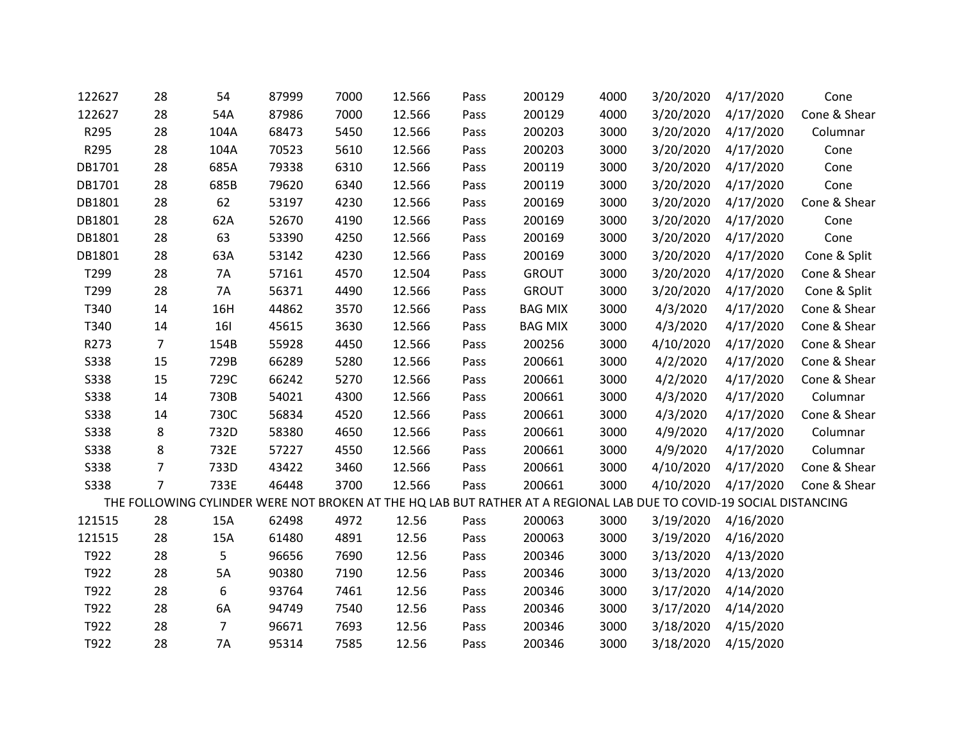| 122627      | 28             | 54             | 87999 | 7000 | 12.566 | Pass | 200129                                                                                                              | 4000 | 3/20/2020 | 4/17/2020           | Cone         |
|-------------|----------------|----------------|-------|------|--------|------|---------------------------------------------------------------------------------------------------------------------|------|-----------|---------------------|--------------|
| 122627      | 28             | 54A            | 87986 | 7000 | 12.566 | Pass | 200129                                                                                                              | 4000 | 3/20/2020 | 4/17/2020           | Cone & Shear |
| R295        | 28             | 104A           | 68473 | 5450 | 12.566 | Pass | 200203                                                                                                              | 3000 |           | 3/20/2020 4/17/2020 | Columnar     |
| R295        | 28             | 104A           | 70523 | 5610 | 12.566 | Pass | 200203                                                                                                              | 3000 | 3/20/2020 | 4/17/2020           | Cone         |
| DB1701      | 28             | 685A           | 79338 | 6310 | 12.566 | Pass | 200119                                                                                                              | 3000 | 3/20/2020 | 4/17/2020           | Cone         |
| DB1701      | 28             | 685B           | 79620 | 6340 | 12.566 | Pass | 200119                                                                                                              | 3000 | 3/20/2020 | 4/17/2020           | Cone         |
| DB1801      | 28             | 62             | 53197 | 4230 | 12.566 | Pass | 200169                                                                                                              | 3000 | 3/20/2020 | 4/17/2020           | Cone & Shear |
| DB1801      | 28             | 62A            | 52670 | 4190 | 12.566 | Pass | 200169                                                                                                              | 3000 | 3/20/2020 | 4/17/2020           | Cone         |
| DB1801      | 28             | 63             | 53390 | 4250 | 12.566 | Pass | 200169                                                                                                              | 3000 |           | 3/20/2020 4/17/2020 | Cone         |
| DB1801      | 28             | 63A            | 53142 | 4230 | 12.566 | Pass | 200169                                                                                                              | 3000 | 3/20/2020 | 4/17/2020           | Cone & Split |
| T299        | 28             | 7A             | 57161 | 4570 | 12.504 | Pass | <b>GROUT</b>                                                                                                        | 3000 | 3/20/2020 | 4/17/2020           | Cone & Shear |
| T299        | 28             | <b>7A</b>      | 56371 | 4490 | 12.566 | Pass | <b>GROUT</b>                                                                                                        | 3000 | 3/20/2020 | 4/17/2020           | Cone & Split |
| T340        | 14             | 16H            | 44862 | 3570 | 12.566 | Pass | <b>BAG MIX</b>                                                                                                      | 3000 | 4/3/2020  | 4/17/2020           | Cone & Shear |
| T340        | 14             | 161            | 45615 | 3630 | 12.566 | Pass | <b>BAG MIX</b>                                                                                                      | 3000 | 4/3/2020  | 4/17/2020           | Cone & Shear |
| R273        | $\overline{7}$ | 154B           | 55928 | 4450 | 12.566 | Pass | 200256                                                                                                              | 3000 | 4/10/2020 | 4/17/2020           | Cone & Shear |
| S338        | 15             | 729B           | 66289 | 5280 | 12.566 | Pass | 200661                                                                                                              | 3000 | 4/2/2020  | 4/17/2020           | Cone & Shear |
| S338        | 15             | 729C           | 66242 | 5270 | 12.566 | Pass | 200661                                                                                                              | 3000 | 4/2/2020  | 4/17/2020           | Cone & Shear |
| <b>S338</b> | 14             | 730B           | 54021 | 4300 | 12.566 | Pass | 200661                                                                                                              | 3000 | 4/3/2020  | 4/17/2020           | Columnar     |
| <b>S338</b> | 14             | 730C           | 56834 | 4520 | 12.566 | Pass | 200661                                                                                                              | 3000 | 4/3/2020  | 4/17/2020           | Cone & Shear |
| S338        | 8              | 732D           | 58380 | 4650 | 12.566 | Pass | 200661                                                                                                              | 3000 | 4/9/2020  | 4/17/2020           | Columnar     |
| S338        | 8              | 732E           | 57227 | 4550 | 12.566 | Pass | 200661                                                                                                              | 3000 | 4/9/2020  | 4/17/2020           | Columnar     |
| S338        | $\overline{7}$ | 733D           | 43422 | 3460 | 12.566 | Pass | 200661                                                                                                              | 3000 | 4/10/2020 | 4/17/2020           | Cone & Shear |
| S338        | $\overline{7}$ | 733E           | 46448 | 3700 | 12.566 | Pass | 200661                                                                                                              | 3000 | 4/10/2020 | 4/17/2020           | Cone & Shear |
|             |                |                |       |      |        |      | THE FOLLOWING CYLINDER WERE NOT BROKEN AT THE HQ LAB BUT RATHER AT A REGIONAL LAB DUE TO COVID-19 SOCIAL DISTANCING |      |           |                     |              |
| 121515      | 28             | 15A            | 62498 | 4972 | 12.56  | Pass | 200063                                                                                                              | 3000 | 3/19/2020 | 4/16/2020           |              |
| 121515      | 28             | 15A            | 61480 | 4891 | 12.56  | Pass | 200063                                                                                                              | 3000 | 3/19/2020 | 4/16/2020           |              |
| T922        | 28             | 5              | 96656 | 7690 | 12.56  | Pass | 200346                                                                                                              | 3000 | 3/13/2020 | 4/13/2020           |              |
| T922        | 28             | 5A             | 90380 | 7190 | 12.56  | Pass | 200346                                                                                                              | 3000 | 3/13/2020 | 4/13/2020           |              |
| T922        | 28             | 6              | 93764 | 7461 | 12.56  | Pass | 200346                                                                                                              | 3000 | 3/17/2020 | 4/14/2020           |              |
| T922        | 28             | 6A             | 94749 | 7540 | 12.56  | Pass | 200346                                                                                                              | 3000 | 3/17/2020 | 4/14/2020           |              |
| T922        | 28             | $\overline{7}$ | 96671 | 7693 | 12.56  | Pass | 200346                                                                                                              | 3000 | 3/18/2020 | 4/15/2020           |              |
| T922        | 28             | 7A             | 95314 | 7585 | 12.56  | Pass | 200346                                                                                                              | 3000 | 3/18/2020 | 4/15/2020           |              |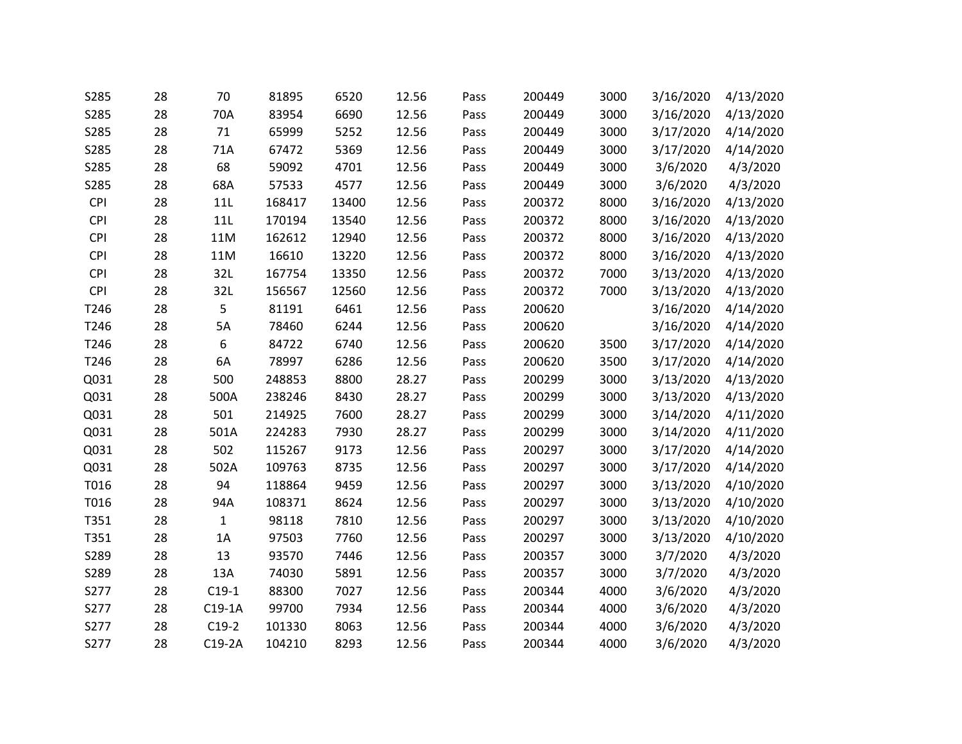| S285       | 28 | 70           | 81895  | 6520  | 12.56 | Pass | 200449 | 3000 | 3/16/2020 | 4/13/2020 |
|------------|----|--------------|--------|-------|-------|------|--------|------|-----------|-----------|
| S285       | 28 | 70A          | 83954  | 6690  | 12.56 | Pass | 200449 | 3000 | 3/16/2020 | 4/13/2020 |
| S285       | 28 | 71           | 65999  | 5252  | 12.56 | Pass | 200449 | 3000 | 3/17/2020 | 4/14/2020 |
| S285       | 28 | 71A          | 67472  | 5369  | 12.56 | Pass | 200449 | 3000 | 3/17/2020 | 4/14/2020 |
| S285       | 28 | 68           | 59092  | 4701  | 12.56 | Pass | 200449 | 3000 | 3/6/2020  | 4/3/2020  |
| S285       | 28 | 68A          | 57533  | 4577  | 12.56 | Pass | 200449 | 3000 | 3/6/2020  | 4/3/2020  |
| <b>CPI</b> | 28 | 11L          | 168417 | 13400 | 12.56 | Pass | 200372 | 8000 | 3/16/2020 | 4/13/2020 |
| <b>CPI</b> | 28 | 11L          | 170194 | 13540 | 12.56 | Pass | 200372 | 8000 | 3/16/2020 | 4/13/2020 |
| <b>CPI</b> | 28 | 11M          | 162612 | 12940 | 12.56 | Pass | 200372 | 8000 | 3/16/2020 | 4/13/2020 |
| CPI        | 28 | 11M          | 16610  | 13220 | 12.56 | Pass | 200372 | 8000 | 3/16/2020 | 4/13/2020 |
| <b>CPI</b> | 28 | 32L          | 167754 | 13350 | 12.56 | Pass | 200372 | 7000 | 3/13/2020 | 4/13/2020 |
| <b>CPI</b> | 28 | 32L          | 156567 | 12560 | 12.56 | Pass | 200372 | 7000 | 3/13/2020 | 4/13/2020 |
| T246       | 28 | 5            | 81191  | 6461  | 12.56 | Pass | 200620 |      | 3/16/2020 | 4/14/2020 |
| T246       | 28 | 5A           | 78460  | 6244  | 12.56 | Pass | 200620 |      | 3/16/2020 | 4/14/2020 |
| T246       | 28 | 6            | 84722  | 6740  | 12.56 | Pass | 200620 | 3500 | 3/17/2020 | 4/14/2020 |
| T246       | 28 | 6A           | 78997  | 6286  | 12.56 | Pass | 200620 | 3500 | 3/17/2020 | 4/14/2020 |
| Q031       | 28 | 500          | 248853 | 8800  | 28.27 | Pass | 200299 | 3000 | 3/13/2020 | 4/13/2020 |
| Q031       | 28 | 500A         | 238246 | 8430  | 28.27 | Pass | 200299 | 3000 | 3/13/2020 | 4/13/2020 |
| Q031       | 28 | 501          | 214925 | 7600  | 28.27 | Pass | 200299 | 3000 | 3/14/2020 | 4/11/2020 |
| Q031       | 28 | 501A         | 224283 | 7930  | 28.27 | Pass | 200299 | 3000 | 3/14/2020 | 4/11/2020 |
| Q031       | 28 | 502          | 115267 | 9173  | 12.56 | Pass | 200297 | 3000 | 3/17/2020 | 4/14/2020 |
| Q031       | 28 | 502A         | 109763 | 8735  | 12.56 | Pass | 200297 | 3000 | 3/17/2020 | 4/14/2020 |
| T016       | 28 | 94           | 118864 | 9459  | 12.56 | Pass | 200297 | 3000 | 3/13/2020 | 4/10/2020 |
| T016       | 28 | 94A          | 108371 | 8624  | 12.56 | Pass | 200297 | 3000 | 3/13/2020 | 4/10/2020 |
| T351       | 28 | $\mathbf{1}$ | 98118  | 7810  | 12.56 | Pass | 200297 | 3000 | 3/13/2020 | 4/10/2020 |
| T351       | 28 | 1A           | 97503  | 7760  | 12.56 | Pass | 200297 | 3000 | 3/13/2020 | 4/10/2020 |
| S289       | 28 | 13           | 93570  | 7446  | 12.56 | Pass | 200357 | 3000 | 3/7/2020  | 4/3/2020  |
| S289       | 28 | 13A          | 74030  | 5891  | 12.56 | Pass | 200357 | 3000 | 3/7/2020  | 4/3/2020  |
| S277       | 28 | $C19-1$      | 88300  | 7027  | 12.56 | Pass | 200344 | 4000 | 3/6/2020  | 4/3/2020  |
| S277       | 28 | $C19-1A$     | 99700  | 7934  | 12.56 | Pass | 200344 | 4000 | 3/6/2020  | 4/3/2020  |
| S277       | 28 | $C19-2$      | 101330 | 8063  | 12.56 | Pass | 200344 | 4000 | 3/6/2020  | 4/3/2020  |
| S277       | 28 | $C19-2A$     | 104210 | 8293  | 12.56 | Pass | 200344 | 4000 | 3/6/2020  | 4/3/2020  |